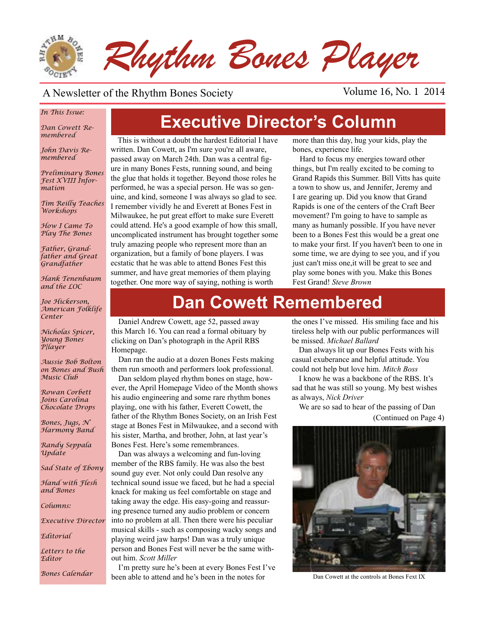

#### A Newsletter of the Rhythm Bones Society Volume 16, No. 1 2014

#### *In This Issue:*

*Dan Cowett Remembered*

*John Davis Remembered*

*Preliminary Bones Fest XVIII Information*

*Tim Reilly Teaches Workshops*

*How I Came To Play The Bones*

*Father, Grandfather and Great Grandfather*

*Hank Tenenbaum and the LOC*

*Joe Hickerson, American Folklife Center*

*Nicholas Spicer, Young Bones P{layer*

*Aussie Bob Bolton on Bones and Bush Music Club*

*Rowan Corbett Joins Carolina Chocolate Drops*

*Bones, Jugs, N' Harmony Band*

*Randy Seppala Update*

*Sad State of Ebony*

*Hand with Flesh and Bones*

*Columns:* 

*Executive Director*

*Editorial*

*Letters to the Editor*

# **Executive Director's Column**

This is without a doubt the hardest Editorial I have written. Dan Cowett, as I'm sure you're all aware, passed away on March 24th. Dan was a central figure in many Bones Fests, running sound, and being the glue that holds it together. Beyond those roles he performed, he was a special person. He was so genuine, and kind, someone I was always so glad to see. I remember vividly he and Everett at Bones Fest in Milwaukee, he put great effort to make sure Everett could attend. He's a good example of how this small, uncomplicated instrument has brought together some truly amazing people who represent more than an organization, but a family of bone players. I was ecstatic that he was able to attend Bones Fest this summer, and have great memories of them playing together. One more way of saying, nothing is worth

more than this day, hug your kids, play the bones, experience life.

Hard to focus my energies toward other things, but I'm really excited to be coming to Grand Rapids this Summer. Bill Vitts has quite a town to show us, and Jennifer, Jeremy and I are gearing up. Did you know that Grand Rapids is one of the centers of the Craft Beer movement? I'm going to have to sample as many as humanly possible. If you have never been to a Bones Fest this would be a great one to make your first. If you haven't been to one in some time, we are dying to see you, and if you just can't miss one,it will be great to see and play some bones with you. Make this Bones Fest Grand! *Steve Brown*

## **Dan Cowett Remembered**

Daniel Andrew Cowett, age 52, passed away this March 16. You can read a formal obituary by clicking on Dan's photograph in the April RBS Homepage.

Dan ran the audio at a dozen Bones Fests making them run smooth and performers look professional.

Dan seldom played rhythm bones on stage, however, the April Homepage Video of the Month shows his audio engineering and some rare rhythm bones playing, one with his father, Everett Cowett, the father of the Rhythm Bones Society, on an Irish Fest stage at Bones Fest in Milwaukee, and a second with his sister, Martha, and brother, John, at last year's Bones Fest. Here's some remembrances.

Dan was always a welcoming and fun-loving member of the RBS family. He was also the best sound guy ever. Not only could Dan resolve any technical sound issue we faced, but he had a special knack for making us feel comfortable on stage and taking away the edge. His easy-going and reassuring presence turned any audio problem or concern into no problem at all. Then there were his peculiar musical skills - such as composing wacky songs and playing weird jaw harps! Dan was a truly unique person and Bones Fest will never be the same without him. *Scott Miller*

Bones Calendar been able to attend and he's been in the notes for Dan Cowett at the controls at Bones Fext IX I'm pretty sure he's been at every Bones Fest I've

the ones I've missed. His smiling face and his tireless help with our public performances will be missed. *Michael Ballard*

Dan always lit up our Bones Fests with his casual exuberance and helpful attitude. You could not help but love him. *Mitch Boss*

I know he was a backbone of the RBS. It's sad that he was still so young. My best wishes as always, *Nick Driver*

We are so sad to hear of the passing of Dan (Continued on Page 4)

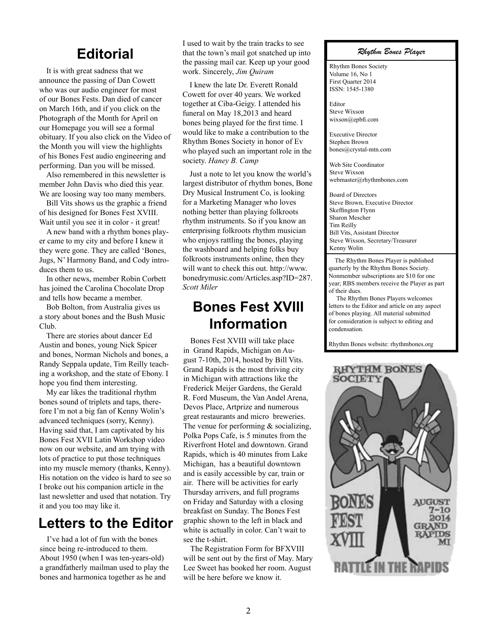#### **Editorial**

It is with great sadness that we announce the passing of Dan Cowett who was our audio engineer for most of our Bones Fests. Dan died of cancer on March 16th, and if you click on the Photograph of the Month for April on our Homepage you will see a formal obituary. If you also click on the Video of the Month you will view the highlights of his Bones Fest audio engineering and performing. Dan you will be missed.

Also remembered in this newsletter is member John Davis who died this year. We are loosing way too many members.

Bill Vits shows us the graphic a friend of his designed for Bones Fest XVIII. Wait until you see it in color - it great!

A new band with a rhythm bones player came to my city and before I knew it they were gone. They are called 'Bones, Jugs, N' Harmony Band, and Cody introduces them to us.

In other news, member Robin Corbett has joined the Carolina Chocolate Drop and tells how became a member.

Bob Bolton, from Australia gives us a story about bones and the Bush Music Club.

There are stories about dancer Ed Austin and bones, young Nick Spicer and bones, Norman Nichols and bones, a Randy Seppala update, Tim Reilly teaching a workshop, and the state of Ebony. I hope you find them interesting.

My ear likes the traditional rhythm bones sound of triplets and taps, therefore I'm not a big fan of Kenny Wolin's advanced techniques (sorry, Kenny). Having said that, I am captivated by his Bones Fest XVII Latin Workshop video now on our website, and am trying with lots of practice to put those techniques into my muscle memory (thanks, Kenny). His notation on the video is hard to see so I broke out his companion article in the last newsletter and used that notation. Try it and you too may like it.

#### **Letters to the Editor**

I've had a lot of fun with the bones since being re-introduced to them. About 1950 (when I was ten-years-old) a grandfatherly mailman used to play the bones and harmonica together as he and

I used to wait by the train tracks to see that the town's mail got snatched up into the passing mail car. Keep up your good work. Sincerely, *Jim Quiram*

I knew the late Dr. Everett Ronald Cowett for over 40 years. We worked together at Ciba-Geigy. I attended his funeral on May 18,2013 and heard bones being played for the first time. I would like to make a contribution to the Rhythm Bones Society in honor of Ev who played such an important role in the society. *Haney B. Camp*

Just a note to let you know the world's largest distributor of rhythm bones, Bone Dry Musical Instrument Co, is looking for a Marketing Manager who loves nothing better than playing folkroots rhythm instruments. So if you know an enterprising folkroots rhythm musician who enjoys rattling the bones, playing the washboard and helping folks buy folkroots instruments online, then they will want to check this out. http://www. bonedrymusic.com/Articles.asp?ID=287. *Scott Miler*

#### **Bones Fest XVIII Information**

Bones Fest XVIII will take place in Grand Rapids, Michigan on August 7-10th, 2014, hosted by Bill Vits. Grand Rapids is the most thriving city in Michigan with attractions like the Frederick Meijer Gardens, the Gerald R. Ford Museum, the Van Andel Arena, Devos Place, Artprize and numerous great restaurants and micro breweries. The venue for performing & socializing, Polka Pops Cafe, is 5 minutes from the Riverfront Hotel and downtown. Grand Rapids, which is 40 minutes from Lake Michigan, has a beautiful downtown and is easily accessible by car, train or air. There will be activities for early Thursday arrivers, and full programs on Friday and Saturday with a closing breakfast on Sunday. The Bones Fest graphic shown to the left in black and white is actually in color. Can't wait to see the t-shirt.

The Registration Form for BFXVIII will be sent out by the first of May. Mary Lee Sweet has booked her room. August will be here before we know it.

*Rhythm Bones Player*

Rhythm Bones Society Volume 16, No 1 First Quarter 2014 ISSN: 1545-1380

Editor Steve Wixson wixson@epbfi.com

Executive Director Stephen Brown bones@crystal-mtn.com

Web Site Coordinator Steve Wixson webmaster@rhythmbones.com

Board of Directors Steve Brown, Executive Director Skeffington Flynn Sharon Mescher Tim Reilly Bill Vits, Assistant Director Steve Wixson, Secretary/Treasurer Kenny Wolin  $\overline{a}$ 

 The Rhythm Bones Player is published quarterly by the Rhythm Bones Society. Nonmember subscriptions are \$10 for one year; RBS members receive the Player as part of their dues.

 The Rhythm Bones Players welcomes letters to the Editor and article on any aspect of bones playing. All material submitted for consideration is subject to editing and condensation.

Rhythm Bones website: rhythmbones.org

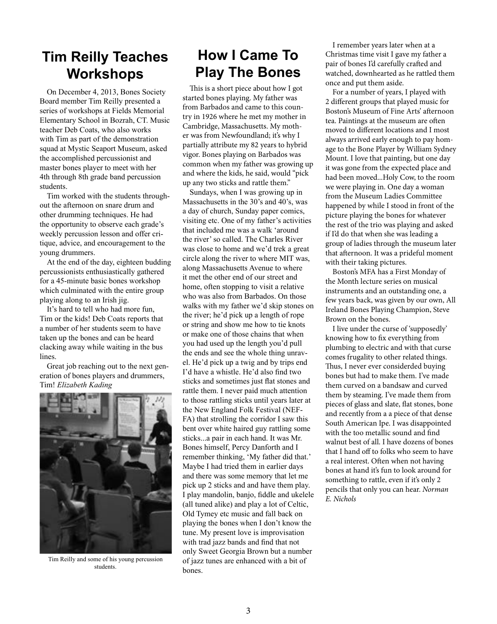#### **Tim Reilly Teaches Workshops**

On December 4, 2013, Bones Society Board member Tim Reilly presented a series of workshops at Fields Memorial Elementary School in Bozrah, CT. Music teacher Deb Coats, who also works with Tim as part of the demonstration squad at Mystic Seaport Museum, asked the accomplished percussionist and master bones player to meet with her 4th through 8th grade band percussion students.

Tim worked with the students throughout the afternoon on snare drum and other drumming techniques. He had the opportunity to observe each grade's weekly percussion lesson and offer critique, advice, and encouragement to the young drummers.

At the end of the day, eighteen budding percussionists enthusiastically gathered for a 45-minute basic bones workshop which culminated with the entire group playing along to an Irish jig.

It's hard to tell who had more fun, Tim or the kids! Deb Coats reports that a number of her students seem to have taken up the bones and can be heard clacking away while waiting in the bus lines.

Great job reaching out to the next generation of bones players and drummers, Tim! *Elizabeth Kading*



Tim Reilly and some of his young percussion students.

#### **How I Came To Play The Bones**

This is a short piece about how I got started bones playing. My father was from Barbados and came to this country in 1926 where he met my mother in Cambridge, Massachusetts. My mother was from Newfoundland; it's why I partially attribute my 82 years to hybrid vigor. Bones playing on Barbados was common when my father was growing up and where the kids, he said, would "pick up any two sticks and rattle them."

Sundays, when I was growing up in Massachusetts in the 30's and 40's, was a day of church, Sunday paper comics, visiting etc. One of my father's activities that included me was a walk 'around the river' so called. The Charles River was close to home and we'd trek a great circle along the river to where MIT was, along Massachusetts Avenue to where it met the other end of our street and home, often stopping to visit a relative who was also from Barbados. On those walks with my father we'd skip stones on the river; he'd pick up a length of rope or string and show me how to tie knots or make one of those chains that when you had used up the length you'd pull the ends and see the whole thing unravel. He'd pick up a twig and by trips end I'd have a whistle. He'd also find two sticks and sometimes just flat stones and rattle them. I never paid much attention to those rattling sticks until years later at the New England Folk Festival (NEF-FA) that strolling the corridor I saw this bent over white haired guy rattling some sticks...a pair in each hand. It was Mr. Bones himself, Percy Danforth and I remember thinking, 'My father did that.' Maybe I had tried them in earlier days and there was some memory that let me pick up 2 sticks and and have them play. I play mandolin, banjo, fiddle and ukelele (all tuned alike) and play a lot of Celtic, Old Tymey etc music and fall back on playing the bones when I don't know the tune. My present love is improvisation with trad jazz bands and find that not only Sweet Georgia Brown but a number of jazz tunes are enhanced with a bit of bones.

I remember years later when at a Christmas time visit I gave my father a pair of bones I'd carefully crafted and watched, downhearted as he rattled them once and put them aside.

For a number of years, I played with 2 different groups that played music for Boston's Museum of Fine Arts' afternoon tea. Paintings at the museum are often moved to different locations and I most always arrived early enough to pay homage to the Bone Player by William Sydney Mount. I love that painting, but one day it was gone from the expected place and had been moved...Holy Cow, to the room we were playing in. One day a woman from the Museum Ladies Committee happened by while I stood in front of the picture playing the bones for whatever the rest of the trio was playing and asked if I'd do that when she was leading a group of ladies through the museum later that afternoon. It was a prideful moment with their taking pictures.

Boston's MFA has a First Monday of the Month lecture series on musical instruments and an outstanding one, a few years back, was given by our own, All Ireland Bones Playing Champion, Steve Brown on the bones.

I live under the curse of 'supposedly' knowing how to fix everything from plumbing to electric and with that curse comes frugality to other related things. Thus, I never ever considerded buying bones but had to make them. I've made them curved on a bandsaw and curved them by steaming. I've made them from pieces of glass and slate, flat stones, bone and recently from a a piece of that dense South American Ipe. I was disappointed with the too metallic sound and find walnut best of all. I have dozens of bones that I hand off to folks who seem to have a real interest. Often when not having bones at hand it's fun to look around for something to rattle, even if it's only 2 pencils that only you can hear. *Norman E. Nichols*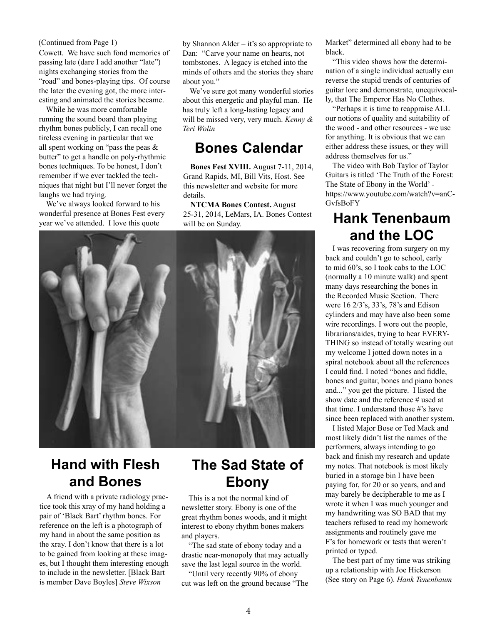#### (Continued from Page 1)

Cowett. We have such fond memories of passing late (dare I add another "late") nights exchanging stories from the "road" and bones-playing tips. Of course the later the evening got, the more interesting and animated the stories became.

While he was more comfortable running the sound board than playing rhythm bones publicly, I can recall one tireless evening in particular that we all spent working on "pass the peas & butter" to get a handle on poly-rhythmic bones techniques. To be honest, I don't remember if we ever tackled the techniques that night but I'll never forget the laughs we had trying.

We've always looked forward to his wonderful presence at Bones Fest every year we've attended. I love this quote

by Shannon Alder – it's so appropriate to Dan: "Carve your name on hearts, not tombstones. A legacy is etched into the minds of others and the stories they share about you."

We've sure got many wonderful stories about this energetic and playful man. He has truly left a long-lasting legacy and will be missed very, very much. *Kenny & Teri Wolin*

#### **Bones Calendar**

**Bones Fest XVIII.** August 7-11, 2014, Grand Rapids, MI, Bill Vits, Host. See this newsletter and website for more details.

**NTCMA Bones Contest.** August 25-31, 2014, LeMars, IA. Bones Contest will be on Sunday.



#### **Hand with Flesh and Bones**

A friend with a private radiology practice took this xray of my hand holding a pair of 'Black Bart' rhythm bones. For reference on the left is a photograph of my hand in about the same position as the xray. I don't know that there is a lot to be gained from looking at these images, but I thought them interesting enough to include in the newsletter. [Black Bart is member Dave Boyles] *Steve Wixson*

#### **The Sad State of Ebony**

This is a not the normal kind of newsletter story. Ebony is one of the great rhythm bones woods, and it might interest to ebony rhythm bones makers and players.

"The sad state of ebony today and a drastic near-monopoly that may actually save the last legal source in the world.

"Until very recently 90% of ebony cut was left on the ground because "The Market" determined all ebony had to be black.

"This video shows how the determination of a single individual actually can reverse the stupid trends of centuries of guitar lore and demonstrate, unequivocally, that The Emperor Has No Clothes.

"Perhaps it is time to reappraise ALL our notions of quality and suitability of the wood - and other resources - we use for anything. It is obvious that we can either address these issues, or they will address themselves for us."

The video with Bob Taylor of Taylor Guitars is titled 'The Truth of the Forest: The State of Ebony in the World' https://www.youtube.com/watch?v=anC-**GvfsBoFY** 

#### **Hank Tenenbaum and the LOC**

I was recovering from surgery on my back and couldn't go to school, early to mid 60's, so I took cabs to the LOC (normally a 10 minute walk) and spent many days researching the bones in the Recorded Music Section. There were 16 2/3's, 33's, 78's and Edison cylinders and may have also been some wire recordings. I wore out the people, librarians/aides, trying to hear EVERY-THING so instead of totally wearing out my welcome I jotted down notes in a spiral notebook about all the references I could find. I noted "bones and fiddle, bones and guitar, bones and piano bones and..." you get the picture. I listed the show date and the reference # used at that time. I understand those #'s have since been replaced with another system.

I listed Major Bose or Ted Mack and most likely didn't list the names of the performers, always intending to go back and finish my research and update my notes. That notebook is most likely buried in a storage bin I have been paying for, for 20 or so years, and and may barely be decipherable to me as I wrote it when I was much younger and my handwriting was SO BAD that my teachers refused to read my homework assignments and routinely gave me F's for homework or tests that weren't printed or typed.

The best part of my time was striking up a relationship with Joe Hickerson (See story on Page 6). *Hank Tenenbaum*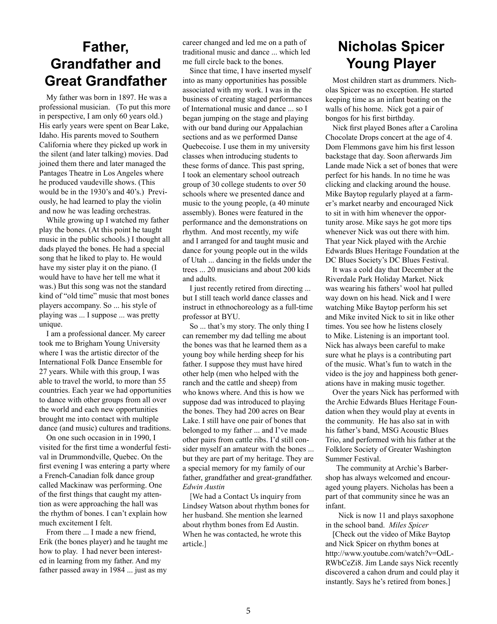# **Father, Grandfather and**

My father was born in 1897. He was a professional musician. (To put this more in perspective, I am only 60 years old.) His early years were spent on Bear Lake, Idaho. His parents moved to Southern California where they picked up work in the silent (and later talking) movies. Dad joined them there and later managed the Pantages Theatre in Los Angeles where he produced vaudeville shows. (This would be in the 1930's and 40's.) Previously, he had learned to play the violin and now he was leading orchestras.

While growing up I watched my father play the bones. (At this point he taught music in the public schools.) I thought all dads played the bones. He had a special song that he liked to play to. He would have my sister play it on the piano. (I would have to have her tell me what it was.) But this song was not the standard kind of "old time" music that most bones players accompany. So ... his style of playing was ... I suppose ... was pretty unique.

I am a professional dancer. My career took me to Brigham Young University where I was the artistic director of the International Folk Dance Ensemble for 27 years. While with this group, I was able to travel the world, to more than 55 countries. Each year we had opportunities to dance with other groups from all over the world and each new opportunities brought me into contact with multiple dance (and music) cultures and traditions.

On one such occasion in in 1990, I visited for the first time a wonderful festival in Drummondville, Quebec. On the first evening I was entering a party where a French-Canadian folk dance group called Mackinaw was performing. One of the first things that caught my attention as were approaching the hall was the rhythm of bones. I can't explain how much excitement I felt.

From there ... I made a new friend, Erik (the bones player) and he taught me how to play. I had never been interested in learning from my father. And my father passed away in 1984 ... just as my

career changed and led me on a path of traditional music and dance ... which led me full circle back to the bones.

Since that time, I have inserted myself into as many opportunities has possible associated with my work. I was in the business of creating staged performances of International music and dance ... so I began jumping on the stage and playing with our band during our Appalachian sections and as we performed Danse Quebecoise. I use them in my university classes when introducing students to these forms of dance. This past spring, I took an elementary school outreach group of 30 college students to over 50 schools where we presented dance and music to the young people, (a 40 minute assembly). Bones were featured in the performance and the demonstrations on rhythm. And most recently, my wife and I arranged for and taught music and dance for young people out in the wilds of Utah ... dancing in the fields under the trees ... 20 musicians and about 200 kids and adults. **Great Grandfather** into as many opportunities has possible Most children start as drummers. Nich-

> I just recently retired from directing ... but I still teach world dance classes and instruct in ethnochoreology as a full-time professor at BYU.

> So ... that's my story. The only thing I can remember my dad telling me about the bones was that he learned them as a young boy while herding sheep for his father. I suppose they must have hired other help (men who helped with the ranch and the cattle and sheep) from who knows where. And this is how we suppose dad was introduced to playing the bones. They had 200 acres on Bear Lake. I still have one pair of bones that belonged to my father ... and I've made other pairs from cattle ribs. I'd still consider myself an amateur with the bones ... but they are part of my heritage. They are a special memory for my family of our father, grandfather and great-grandfather. *Edwin Austin*

[We had a Contact Us inquiry from Lindsey Watson about rhythm bones for her husband. She mention she learned about rhythm bones from Ed Austin. When he was contacted, he wrote this article.]

### **Nicholas Spicer Young Player**

olas Spicer was no exception. He started keeping time as an infant beating on the walls of his home. Nick got a pair of bongos for his first birthday.

Nick first played Bones after a Carolina Chocolate Drops concert at the age of 4. Dom Flemmons gave him his first lesson backstage that day. Soon afterwards Jim Lande made Nick a set of bones that were perfect for his hands. In no time he was clicking and clacking around the house. Mike Baytop regularly played at a farmer's market nearby and encouraged Nick to sit in with him whenever the opportunity arose. Mike says he got more tips whenever Nick was out there with him. That year Nick played with the Archie Edwards Blues Heritage Foundation at the DC Blues Society's DC Blues Festival.

It was a cold day that December at the Riverdale Park Holiday Market. Nick was wearing his fathers' wool hat pulled way down on his head. Nick and I were watching Mike Baytop perform his set and Mike invited Nick to sit in like other times. You see how he listens closely to Mike. Listening is an important tool. Nick has always been careful to make sure what he plays is a contributing part of the music. What's fun to watch in the video is the joy and happiness both generations have in making music together.

Over the years Nick has performed with the Archie Edwards Blues Heritage Foundation when they would play at events in the community. He has also sat in with his father's band, MSG Acoustic Blues Trio, and performed with his father at the Folklore Society of Greater Washington Summer Festival.

 The community at Archie's Barbershop has always welcomed and encouraged young players. Nicholas has been a part of that community since he was an infant.

 Nick is now 11 and plays saxophone in the school band. *Miles Spicer*

[Check out the video of Mike Baytop and Nick Spicer on rhythm bones at http://www.youtube.com/watch?v=OdL-RWbCeZi8. Jim Lande says Nick recently discovered a cahon drum and could play it instantly. Says he's retired from bones.]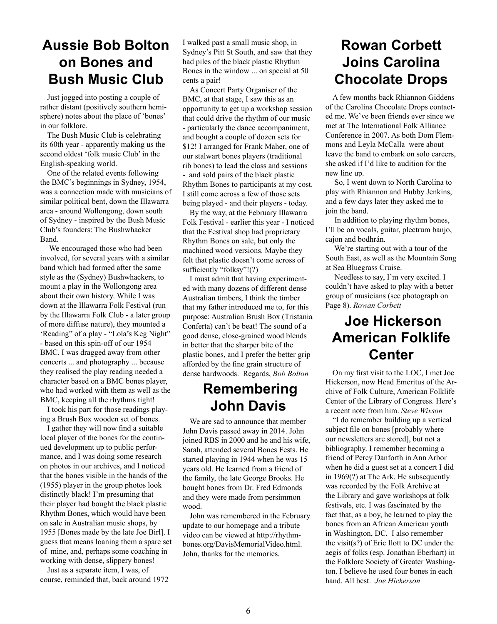#### **Aussie Bob Bolton on Bones and Bush Music Club**

Just jogged into posting a couple of rather distant (positively southern hemisphere) notes about the place of 'bones' in our folklore.

The Bush Music Club is celebrating its 60th year - apparently making us the second oldest 'folk music Club' in the English-speaking world.

One of the related events following the BMC's beginnings in Sydney, 1954, was a connection made with musicians of similar political bent, down the Illawarra area - around Wollongong, down south of Sydney - inspired by the Bush Music Club's founders: The Bushwhacker Band.

 We encouraged those who had been involved, for several years with a similar band which had formed after the same style as the (Sydney) Bushwhackers, to mount a play in the Wollongong area about their own history. While I was down at the Illawarra Folk Festival (run by the Illawarra Folk Club - a later group of more diffuse nature), they mounted a 'Reading" of a play - "Lola's Keg Night" - based on this spin-off of our 1954 BMC. I was dragged away from other concerts ... and photography ... because they realised the play reading needed a character based on a BMC bones player, who had worked with them as well as the BMC, keeping all the rhythms tight!

I took his part for those readings playing a Brush Box wooden set of bones.

I gather they will now find a suitable local player of the bones for the continued development up to public performance, and I was doing some research on photos in our archives, and I noticed that the bones visible in the hands of the (1955) player in the group photos look distinctly black! I'm presuming that their player had bought the black plastic Rhythm Bones, which would have been on sale in Australian music shops, by 1955 [Bones made by the late Joe Birl]. I guess that means loaning them a spare set of mine, and, perhaps some coaching in working with dense, slippery bones!

Just as a separate item, I was, of course, reminded that, back around 1972 I walked past a small music shop, in Sydney's Pitt St South, and saw that they had piles of the black plastic Rhythm Bones in the window ... on special at 50 cents a pair!

As Concert Party Organiser of the BMC, at that stage, I saw this as an opportunity to get up a workshop session that could drive the rhythm of our music - particularly the dance accompaniment, and bought a couple of dozen sets for \$12! I arranged for Frank Maher, one of our stalwart bones players (traditional rib bones) to lead the class and sessions - and sold pairs of the black plastic Rhythm Bones to participants at my cost. I still come across a few of those sets being played - and their players - today.

By the way, at the February Illawarra Folk Festival - earlier this year - I noticed that the Festival shop had proprietary Rhythm Bones on sale, but only the machined wood versions. Maybe they felt that plastic doesn't come across of sufficiently "folksy"!(?)

I must admit that having experimented with many dozens of different dense Australian timbers, I think the timber that my father introduced me to, for this purpose: Australian Brush Box (Tristania Conferta) can't be beat! The sound of a good dense, close-grained wood blends in better that the sharper bite of the plastic bones, and I prefer the better grip afforded by the fine grain structure of dense hardwoods. Regards, *Bob Bolton*

#### **Remembering John Davis**

We are sad to announce that member John Davis passed away in 2014. John joined RBS in 2000 and he and his wife, Sarah, attended several Bones Fests. He started playing in 1944 when he was 15 years old. He learned from a friend of the family, the late George Brooks. He bought bones from Dr. Fred Edmonds and they were made from persimmon wood.

John was remembered in the February update to our homepage and a tribute video can be viewed at http://rhythmbones.org/DavisMemorialVideo.html. John, thanks for the memories.

### **Rowan Corbett Joins Carolina Chocolate Drops**

A few months back Rhiannon Giddens of the Carolina Chocolate Drops contacted me. We've been friends ever since we met at The International Folk Alliance Conference in 2007. As both Dom Flemmons and Leyla McCalla were about leave the band to embark on solo careers, she asked if I'd like to audition for the new line up.

 So, I went down to North Carolina to play with Rhiannon and Hubby Jenkins, and a few days later they asked me to join the band.

 In addition to playing rhythm bones, I'll be on vocals, guitar, plectrum banjo, cajon and bodhrán.

 We're starting out with a tour of the South East, as well as the Mountain Song at Sea Bluegrass Cruise.

 Needless to say, I'm very excited. I couldn't have asked to play with a better group of musicians (see photograph on Page 8). *Rowan Corbett*

### **Joe Hickerson American Folklife Center**

On my first visit to the LOC, I met Joe Hickerson, now Head Emeritus of the Archive of Folk Culture, American Folklife Center of the Library of Congress. Here's a recent note from him. *Steve Wixson*

"I do remember building up a vertical subject file on bones [probably where our newsletters are stored], but not a bibliography. I remember becoming a friend of Percy Danforth in Ann Arbor when he did a guest set at a concert I did in 1969(?) at The Ark. He subsequently was recorded by the Folk Archive at the Library and gave workshops at folk festivals, etc. I was fascinated by the fact that, as a boy, he learned to play the bones from an African American youth in Washington, DC. I also remember the visit(s?) of Eric Ilott to DC under the aegis of folks (esp. Jonathan Eberhart) in the Folklore Society of Greater Washington. I believe he used four bones in each hand. All best. *Joe Hickerson*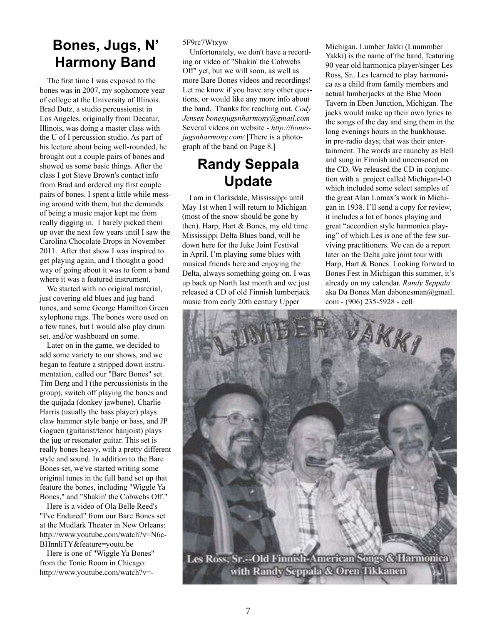#### **Bones, Jugs, N' Harmony Band**

The first time I was exposed to the bones was in 2007, my sophomore year of college at the University of Illinois. Brad Dutz, a studio percussionist in Los Angeles, originally from Decatur, Illinois, was doing a master class with the U of I percussion studio. As part of his lecture about being well-rounded, he brought out a couple pairs of bones and showed us some basic things. After the class I got Steve Brown's contact info from Brad and ordered my first couple pairs of bones. I spent a little while messing around with them, but the demands of being a music major kept me from really digging in. I barely picked them up over the next few years until I saw the Carolina Chocolate Drops in November 2011. After that show I was inspired to get playing again, and I thought a good way of going about it was to form a band where it was a featured instrument.

We started with no original material, just covering old blues and jug band tunes, and some George Hamilton Green xylophone rags. The bones were used on a few tunes, but I would also play drum set, and/or washboard on some.

Later on in the game, we decided to add some variety to our shows, and we began to feature a stripped down instrumentation, called our "Bare Bones" set. Tim Berg and I (the percussionists in the group), switch off playing the bones and the quijada (donkey jawbone), Charlie Harris (usually the bass player) plays claw hammer style banjo or bass, and JP Goguen (guitarist/tenor banjoist) plays the jug or resonator guitar. This set is really bones heavy, with a pretty different style and sound. In addition to the Bare Bones set, we've started writing some original tunes in the full band set up that feature the bones, including "Wiggle Ya Bones," and "Shakin' the Cobwebs Off."

Here is a video of Ola Belle Reed's "I've Endured" from our Bare Bones set at the Mudlark Theater in New Orleans: http://www.youtube.com/watch?v=N6c-BHnnliTY&feature=youtu.be

Here is one of "Wiggle Ya Bones" from the Tonic Room in Chicago: http://www.youtube.com/watch?v=-

5F9rc7Wtxyw

Unfortunately, we don't have a recording or video of "Shakin' the Cobwebs Off" yet, but we will soon, as well as more Bare Bones videos and recordings! Let me know if you have any other questions, or would like any more info about the band. Thanks for reaching out. *Cody Jensen bonesjugsnharmony@gmail.com*  Several videos on website - *http://bonesjugsnharmony.com/* [There is a photograph of the band on Page 8.]

#### **Randy Seppala Update**

I am in Clarksdale, Mississippi until May 1st when I will return to Michigan (most of the snow should be gone by then). Harp, Hart & Bones, my old time Mississippi Delta Blues band, will be down here for the Juke Joint Festival in April. I'm playing some blues with musical friends here and enjoying the Delta, always something going on. I was up back up North last month and we just released a CD of old Finnish lumberjack music from early 20th century Upper

Michigan. Lumber Jakki (Luummber Yakki) is the name of the band, featuring 90 year old harmonica player/singer Les Ross, Sr.. Les learned to play harmonica as a child from family members and actual lumberjacks at the Blue Moon Tavern in Eben Junction, Michigan. The jacks would make up their own lyrics to the songs of the day and sing them in the long evenings hours in the bunkhouse, in pre-radio days; that was their entertainment. The words are raunchy as Hell and sung in Finnish and uncensored on the CD. We released the CD in conjunction with a project called Michigan-I-O which included some select samples of the great Alan Lomax's work in Michigan in 1938. I'll send a copy for review, it includes a lot of bones playing and great "accordion style harmonica playing" of which Les is one of the few surviving practitioners. We can do a report later on the Delta juke joint tour with Harp, Hart & Bones. Looking forward to Bones Fest in Michigan this summer, it's already on my calendar. *Randy Seppala* aka Da Bones Man dabonesman@gmail. com - (906) 235-5928 - cell